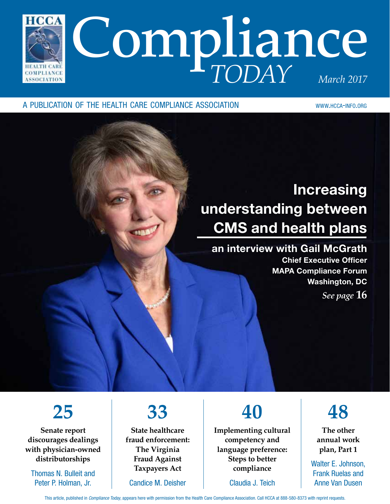

### a publication of the health care compliance association www.hcca-info.org

## Increasing understanding between CMS and health plans

### an interview with Gail McGrath

Chief Executive Officer MAPA Compliance Forum Washington, DC *See page* **16**

## **25**

**Senate report discourages dealings with physician-owned distributorships**

Thomas N. Bulleit and Peter P. Holman, Jr.

## **33**

**State healthcare fraud enforcement: The Virginia Fraud Against Taxpayers Act**

Candice M. Deisher

## **40**

**Implementing cultural competency and language preference: Steps to better compliance**

Claudia J. Teich

## **48**

**The other annual work plan, Part 1**

Walter E. Johnson, Frank Ruelas and Anne Van Dusen

This article, published in *Compliance Today*, appears here with permission from the Health Care Compliance Association. Call HCCA at 888-580-8373 with reprint requests.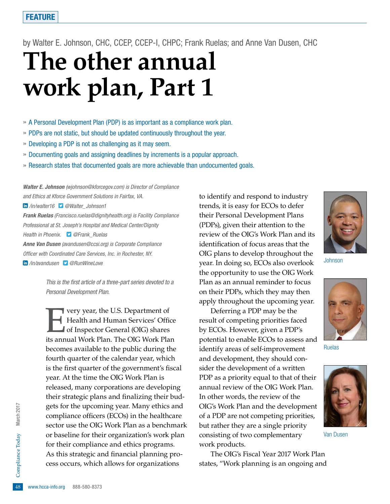by Walter E. Johnson, CHC, CCEP, CCEP-I, CHPC; Frank Ruelas; and Anne Van Dusen, CHC

# **The other annual work plan, Part 1**

» A Personal Development Plan (PDP) is as important as a compliance work plan.

- » PDPs are not static, but should be updated continuously throughout the year.
- » Developing a PDP is not as challenging as it may seem.
- » Documenting goals and assigning deadlines by increments is a popular approach.
- » Research states that documented goals are more achievable than undocumented goals.

*Walter E. Johnson (wjohnson@kforcegov.com) is Director of Compliance and Ethics at Kforce Government Solutions in Fairfax, VA. /in/walter16 @Walter\_Johnson1 Frank Ruelas (Francisco.ruelas@dignityhealth.org) is Facility Compliance Professional at St. Joseph's Hospital and Medical Center/Dignity Health in Phoenix. @Frank\_Ruelas Anne Van Dusen (avandusen@ccsi.org) is Corporate Compliance Officer with Coordinated Care Services, Inc. in Rochester, NY. /in/avandusen @RunWineLove*

> *This is the first article of a three-part series devoted to a Personal Development Plan.*

48 As this strategic and financial planning process occurs, which allows for organizations<br>  $\frac{1}{6}$ <br>
48 www.hcca-info.org 888-580-8373 Very year, the U.S. Department of<br>Health and Human Services' Office<br>of Inspector General (OIG) shares<br>its annual Work Plan. The OIG Work Plan Health and Human Services' Office of Inspector General (OIG) shares its annual Work Plan. The OIG Work Plan becomes available to the public during the fourth quarter of the calendar year, which is the first quarter of the government's fiscal year. At the time the OIG Work Plan is released, many corporations are developing their strategic plans and finalizing their budgets for the upcoming year. Many ethics and compliance officers (ECOs) in the healthcare sector use the OIG Work Plan as a benchmark or baseline for their organization's work plan for their compliance and ethics programs. cess occurs, which allows for organizations

to identify and respond to industry trends, it is easy for ECOs to defer their Personal Development Plans (PDPs), given their attention to the review of the OIG's Work Plan and its identification of focus areas that the OIG plans to develop throughout the year. In doing so, ECOs also overlook the opportunity to use the OIG Work Plan as an annual reminder to focus on their PDPs, which they may then apply throughout the upcoming year.

Deferring a PDP may be the result of competing priorities faced by ECOs. However, given a PDP's potential to enable ECOs to assess and identify areas of self-improvement and development, they should consider the development of a written PDP as a priority equal to that of their annual review of the OIG Work Plan. In other words, the review of the OIG's Work Plan and the development of a PDP are not competing priorities, but rather they are a single priority consisting of two complementary work products.

The OIG's Fiscal Year 2017 Work Plan states, "Work planning is an ongoing and

Johnson

Ruelas



Van Dusen





Today March 2017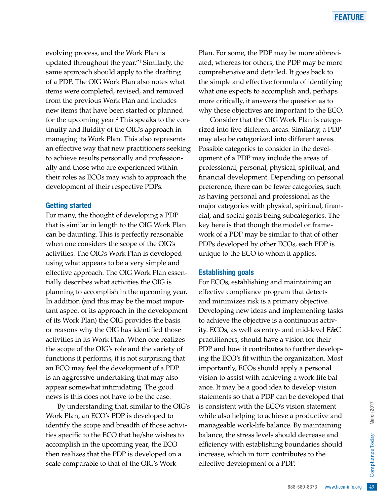evolving process, and the Work Plan is updated throughout the year."1 Similarly, the same approach should apply to the drafting of a PDP. The OIG Work Plan also notes what items were completed, revised, and removed from the previous Work Plan and includes new items that have been started or planned for the upcoming year.<sup>2</sup> This speaks to the continuity and fluidity of the OIG's approach in managing its Work Plan. This also represents an effective way that new practitioners seeking to achieve results personally and professionally and those who are experienced within their roles as ECOs may wish to approach the development of their respective PDPs.

### Getting started

For many, the thought of developing a PDP that is similar in length to the OIG Work Plan can be daunting. This is perfectly reasonable when one considers the scope of the OIG's activities. The OIG's Work Plan is developed using what appears to be a very simple and effective approach. The OIG Work Plan essentially describes what activities the OIG is planning to accomplish in the upcoming year. In addition (and this may be the most important aspect of its approach in the development of its Work Plan) the OIG provides the basis or reasons why the OIG has identified those activities in its Work Plan. When one realizes the scope of the OIG's role and the variety of functions it performs, it is not surprising that an ECO may feel the development of a PDP is an aggressive undertaking that may also appear somewhat intimidating. The good news is this does not have to be the case.

By understanding that, similar to the OIG's Work Plan, an ECO's PDP is developed to identify the scope and breadth of those activities specific to the ECO that he/she wishes to accomplish in the upcoming year, the ECO then realizes that the PDP is developed on a scale comparable to that of the OIG's Work

Plan. For some, the PDP may be more abbreviated, whereas for others, the PDP may be more comprehensive and detailed. It goes back to the simple and effective formula of identifying what one expects to accomplish and, perhaps more critically, it answers the question as to why these objectives are important to the ECO.

Consider that the OIG Work Plan is categorized into five different areas. Similarly, a PDP may also be categorized into different areas. Possible categories to consider in the development of a PDP may include the areas of professional, personal, physical, spiritual, and financial development. Depending on personal preference, there can be fewer categories, such as having personal and professional as the major categories with physical, spiritual, financial, and social goals being subcategories. The key here is that though the model or framework of a PDP may be similar to that of other PDPs developed by other ECOs, each PDP is unique to the ECO to whom it applies.

### Establishing goals

ibutes to the<br>
DP.<br>  $888-580-8373$  www.hcca-info.org 49 For ECOs, establishing and maintaining an effective compliance program that detects and minimizes risk is a primary objective. Developing new ideas and implementing tasks to achieve the objective is a continuous activity. ECOs, as well as entry- and mid-level E&C practitioners, should have a vision for their PDP and how it contributes to further developing the ECO's fit within the organization. Most importantly, ECOs should apply a personal vision to assist with achieving a work-life balance. It may be a good idea to develop vision statements so that a PDP can be developed that is consistent with the ECO's vision statement while also helping to achieve a productive and manageable work-life balance. By maintaining balance, the stress levels should decrease and efficiency with establishing boundaries should increase, which in turn contributes to the effective development of a PDP.